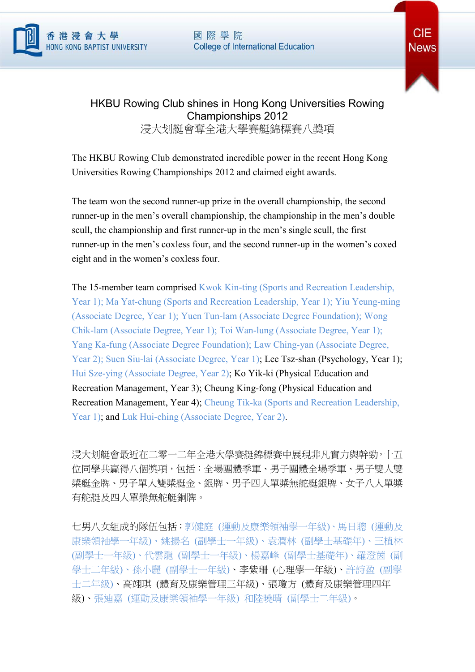

國際學院 **College of International Education** 



## HKBU Rowing Club shines in Hong Kong Universities Rowing Championships 2012 浸大划艇會奪全港大學賽艇錦標賽八獎項

The HKBU Rowing Club demonstrated incredible power in the recent Hong Kong Universities Rowing Championships 2012 and claimed eight awards.

The team won the second runner-up prize in the overall championship, the second runner-up in the men's overall championship, the championship in the men's double scull, the championship and first runner-up in the men's single scull, the first runner-up in the men's coxless four, and the second runner-up in the women's coxed eight and in the women's coxless four.

The 15-member team comprised Kwok Kin-ting (Sports and Recreation Leadership, Year 1); Ma Yat-chung (Sports and Recreation Leadership, Year 1); Yiu Yeung-ming (Associate Degree, Year 1); Yuen Tun-lam (Associate Degree Foundation); Wong Chik-lam (Associate Degree, Year 1); Toi Wan-lung (Associate Degree, Year 1); Yang Ka-fung (Associate Degree Foundation); Law Ching-yan (Associate Degree, Year 2); Suen Siu-lai (Associate Degree, Year 1); Lee Tsz-shan (Psychology, Year 1); Hui Sze-ying (Associate Degree, Year 2); Ko Yik-ki (Physical Education and Recreation Management, Year 3); Cheung King-fong (Physical Education and Recreation Management, Year 4); Cheung Tik-ka (Sports and Recreation Leadership, Year 1); and Luk Hui-ching (Associate Degree, Year 2).

浸大划艇會最近在二零一二年全港大學賽艇錦標賽中展現非凡實力與幹勁,十五 位同學共贏得八個獎項,包括:全場團體季軍、男子團體全場季軍、男子雙人雙 槳艇金牌、男子單人雙槳艇金、銀牌、男子四人單槳無舵艇銀牌、女子八人單槳 有舵艇及四人單槳無舵艇銅牌。

七男八女組成的隊伍包括:郭健庭 (運動及康樂領袖學一年級)、馬日聰 (運動及 康樂領袖學一年級)、姚揚名 (副學士一年級)、袁潤林 (副學士基礎年)、王植林 (副學士一年級)、代雲龍 (副學士一年級)、楊嘉峰 (副學士基礎年)、羅澄茵 (副 學士二年級)、孫小麗 (副學士一年級)、李紫珊 (心理學一年級)、許詩盈 (副學 士二年級)、高翊琪 (體育及康樂管理三年級)、張瓊方 (體育及康樂管理四年 級)、張迪嘉 (運動及康樂領袖學一年級) 和陸曉晴 (副學士二年級)。